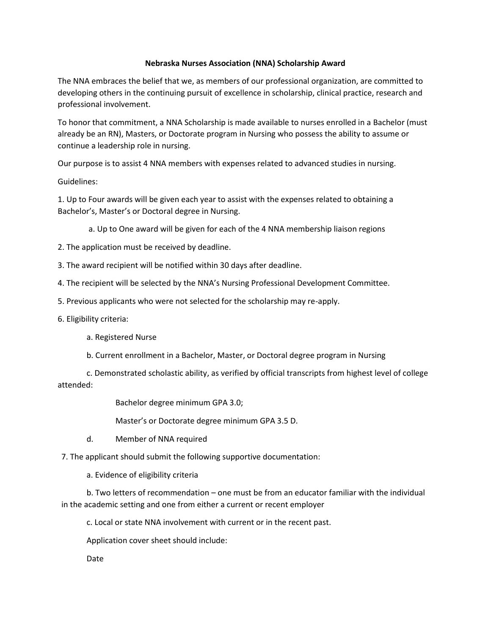## **Nebraska Nurses Association (NNA) Scholarship Award**

The NNA embraces the belief that we, as members of our professional organization, are committed to developing others in the continuing pursuit of excellence in scholarship, clinical practice, research and professional involvement.

To honor that commitment, a NNA Scholarship is made available to nurses enrolled in a Bachelor (must already be an RN), Masters, or Doctorate program in Nursing who possess the ability to assume or continue a leadership role in nursing.

Our purpose is to assist 4 NNA members with expenses related to advanced studies in nursing.

Guidelines:

1. Up to Four awards will be given each year to assist with the expenses related to obtaining a Bachelor's, Master's or Doctoral degree in Nursing.

a. Up to One award will be given for each of the 4 NNA membership liaison regions

2. The application must be received by deadline.

3. The award recipient will be notified within 30 days after deadline.

4. The recipient will be selected by the NNA's Nursing Professional Development Committee.

5. Previous applicants who were not selected for the scholarship may re-apply.

6. Eligibility criteria:

a. Registered Nurse

b. Current enrollment in a Bachelor, Master, or Doctoral degree program in Nursing

c. Demonstrated scholastic ability, as verified by official transcripts from highest level of college attended:

Bachelor degree minimum GPA 3.0;

Master's or Doctorate degree minimum GPA 3.5 D.

d. Member of NNA required

7. The applicant should submit the following supportive documentation:

a. Evidence of eligibility criteria

b. Two letters of recommendation – one must be from an educator familiar with the individual in the academic setting and one from either a current or recent employer

c. Local or state NNA involvement with current or in the recent past.

Application cover sheet should include:

Date